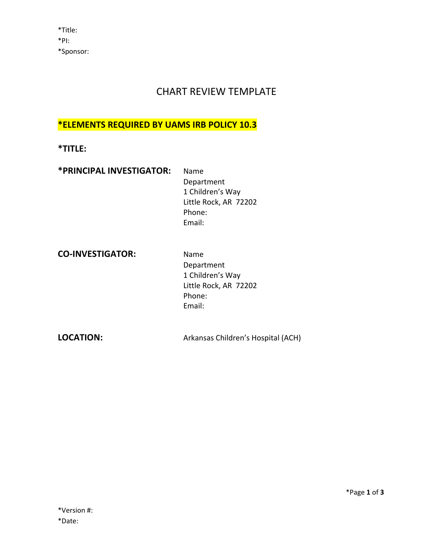# CHART REVIEW TEMPLATE

#### **\*ELEMENTS REQUIRED BY UAMS IRB POLICY 10.3**

**\*TITLE:** 

| *PRINCIPAL INVESTIGATOR: | Name                  |
|--------------------------|-----------------------|
|                          | Department            |
|                          | 1 Children's Way      |
|                          | Little Rock, AR 72202 |
|                          | Phone:                |
|                          | Email:                |

**CO-INVESTIGATOR:** Name

 Department 1 Children's Way Little Rock, AR 72202 Phone: Email:

**LOCATION:** Arkansas Children's Hospital (ACH)

\*Page **1** of **3**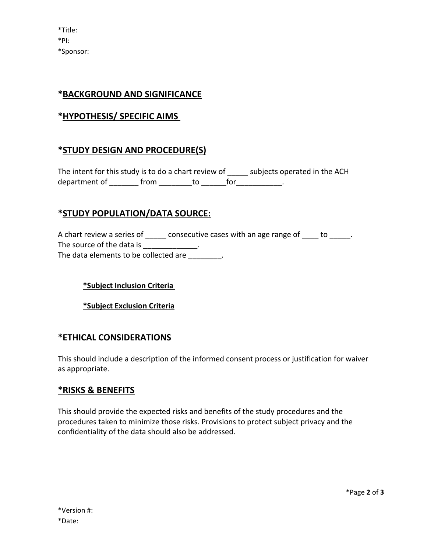\*Title: \*PI: \*Sponsor:

# **\*BACKGROUND AND SIGNIFICANCE**

# **\*HYPOTHESIS/ SPECIFIC AIMS**

## **\*STUDY DESIGN AND PROCEDURE(S)**

The intent for this study is to do a chart review of \_\_\_\_\_ subjects operated in the ACH department of \_\_\_\_\_\_\_ from \_\_\_\_\_\_\_\_ to \_\_\_\_\_\_ for \_\_\_\_\_\_\_\_\_\_\_.

#### **\*STUDY POPULATION/DATA SOURCE:**

A chart review a series of \_\_\_\_\_ consecutive cases with an age range of \_\_\_\_ to \_\_\_\_\_. The source of the data is \_\_\_\_\_\_\_\_\_\_\_\_\_\_. The data elements to be collected are  $\qquad \qquad .$ 

**\*Subject Inclusion Criteria** 

**\*Subject Exclusion Criteria**

#### **\*ETHICAL CONSIDERATIONS**

This should include a description of the informed consent process or justification for waiver as appropriate.

#### **\*RISKS & BENEFITS**

This should provide the expected risks and benefits of the study procedures and the procedures taken to minimize those risks. Provisions to protect subject privacy and the confidentiality of the data should also be addressed.